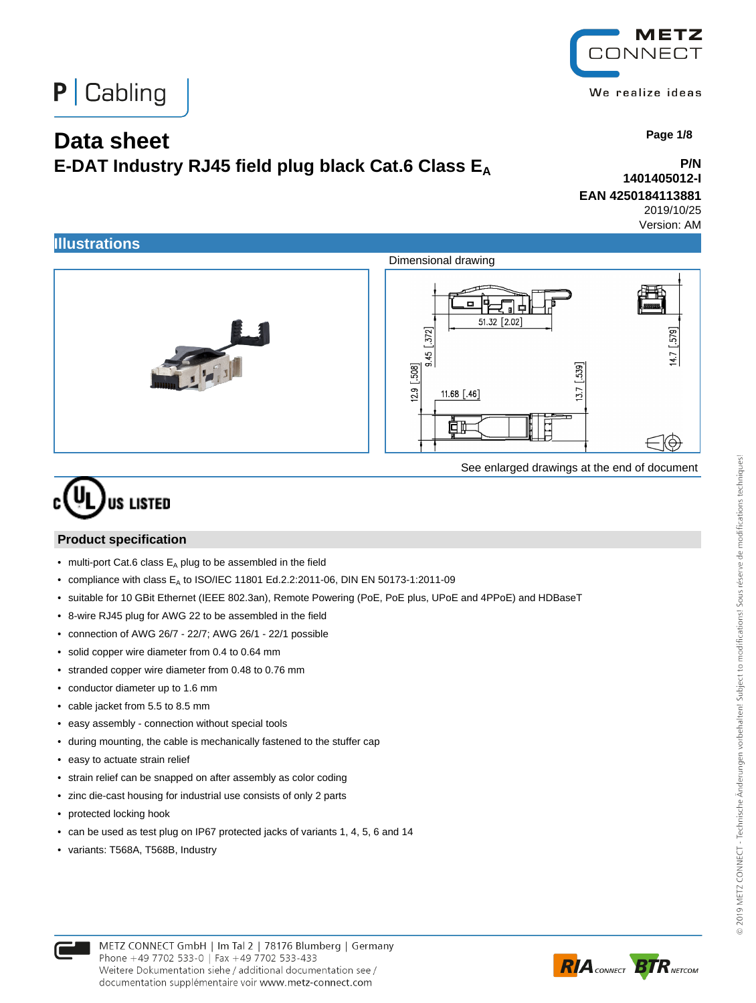



## **Data sheet**

# **E-DAT Industry RJ45 field plug black Cat.6 Class E<sup>A</sup>**

 **Page 1/8**

#### **P/N 1401405012-I EAN 4250184113881**

2019/10/25

Version: AM



See enlarged drawings at the end of document

# **US LISTED**

#### **Product specification**

- multi-port Cat.6 class  $E_A$  plug to be assembled in the field
- compliance with class  $E_A$  to ISO/IEC 11801 Ed.2.2:2011-06, DIN EN 50173-1:2011-09
- suitable for 10 GBit Ethernet (IEEE 802.3an), Remote Powering (PoE, PoE plus, UPoE and 4PPoE) and HDBaseT
- 8-wire RJ45 plug for AWG 22 to be assembled in the field
- connection of AWG 26/7 22/7; AWG 26/1 22/1 possible
- solid copper wire diameter from 0.4 to 0.64 mm
- stranded copper wire diameter from 0.48 to 0.76 mm
- conductor diameter up to 1.6 mm
- cable jacket from 5.5 to 8.5 mm
- easy assembly connection without special tools
- during mounting, the cable is mechanically fastened to the stuffer cap
- easy to actuate strain relief
- strain relief can be snapped on after assembly as color coding
- zinc die-cast housing for industrial use consists of only 2 parts
- protected locking hook
- can be used as test plug on IP67 protected jacks of variants 1, 4, 5, 6 and 14
- variants: T568A, T568B, Industry



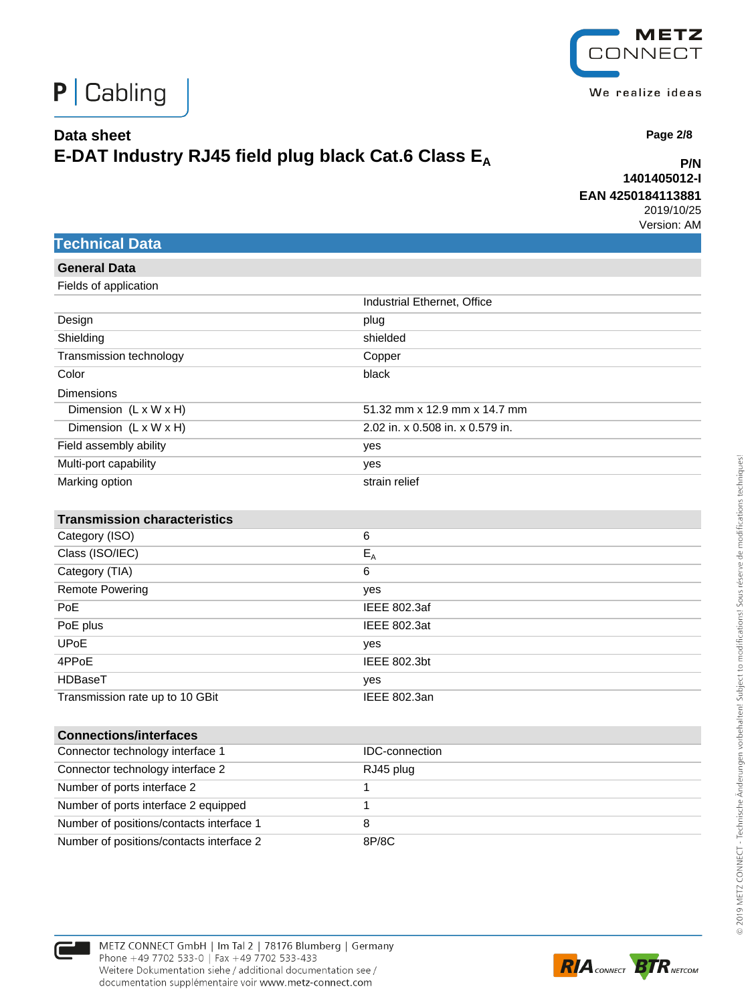

**P/N 1401405012-I EAN 4250184113881**

2019/10/25 Version: AM

 **Page 2/8**

|  |  |  |  | <b>Technical Data</b> |
|--|--|--|--|-----------------------|
|--|--|--|--|-----------------------|

| <b>General Data</b>                  |                                  |
|--------------------------------------|----------------------------------|
| Fields of application                |                                  |
|                                      | Industrial Ethernet, Office      |
| Design                               | plug                             |
| Shielding                            | shielded                         |
| Transmission technology              | Copper                           |
| Color                                | black                            |
| <b>Dimensions</b>                    |                                  |
| Dimension (L x W x H)                | 51.32 mm x 12.9 mm x 14.7 mm     |
| Dimension $(L \times W \times H)$    | 2.02 in. x 0.508 in. x 0.579 in. |
| Field assembly ability               | yes                              |
| Multi-port capability                | yes                              |
| Marking option                       | strain relief                    |
|                                      |                                  |
| <b>Transmission characteristics</b>  |                                  |
| Category (ISO)                       | $\,6$                            |
| Class (ISO/IEC)                      | $E_A$                            |
| Category (TIA)                       | 6                                |
| <b>Remote Powering</b>               | yes                              |
| PoE                                  | IEEE 802.3af                     |
| PoE plus                             | <b>IEEE 802.3at</b>              |
| <b>UPoE</b>                          | yes                              |
| 4PPoE                                | IEEE 802.3bt                     |
| HDBaseT                              | yes                              |
| Transmission rate up to 10 GBit      | <b>IEEE 802.3an</b>              |
|                                      |                                  |
| <b>Connections/interfaces</b>        |                                  |
| Connector technology interface 1     | <b>IDC-connection</b>            |
| Connector technology interface 2     | RJ45 plug                        |
| Number of ports interface 2          | 1                                |
| Number of ports interface 2 equipped | 1                                |

Number of positions/contacts interface 1 8 Number of positions/contacts interface 2 8P/8C

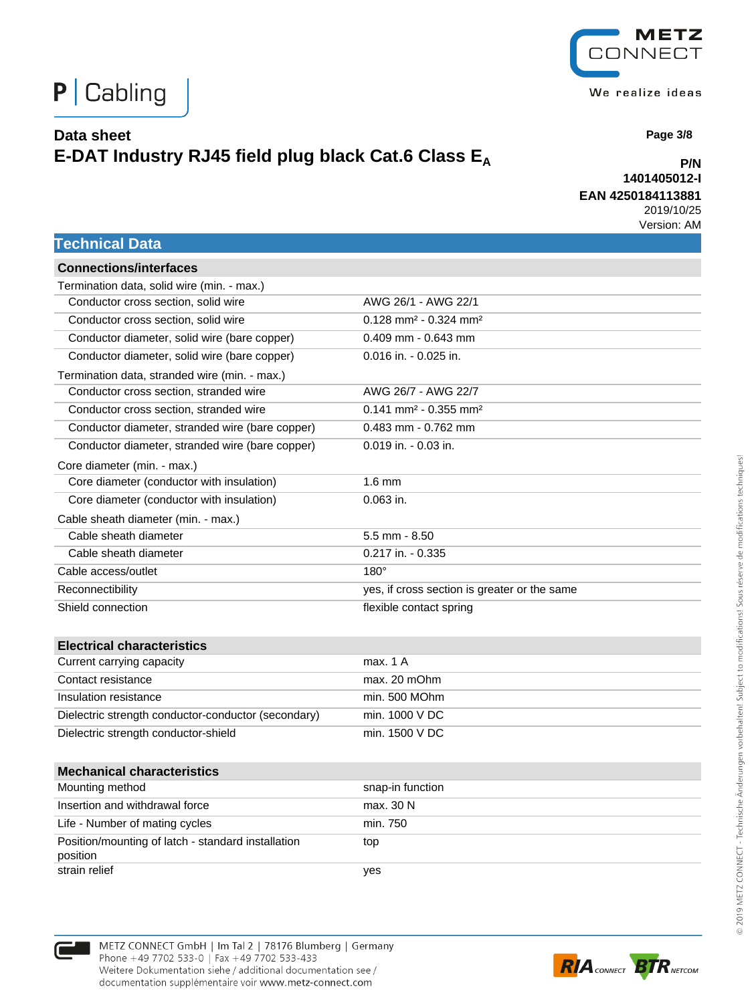

**P/N 1401405012-I EAN 4250184113881**

2019/10/25 Version: AM

#### **Technical Data**

| <b>Connections/interfaces</b>                                  |                                                 |
|----------------------------------------------------------------|-------------------------------------------------|
| Termination data, solid wire (min. - max.)                     |                                                 |
| Conductor cross section, solid wire                            | AWG 26/1 - AWG 22/1                             |
| Conductor cross section, solid wire                            | $0.128$ mm <sup>2</sup> - 0.324 mm <sup>2</sup> |
| Conductor diameter, solid wire (bare copper)                   | $0.409$ mm - $0.643$ mm                         |
| Conductor diameter, solid wire (bare copper)                   | 0.016 in. - 0.025 in.                           |
| Termination data, stranded wire (min. - max.)                  |                                                 |
| Conductor cross section, stranded wire                         | AWG 26/7 - AWG 22/7                             |
| Conductor cross section, stranded wire                         | 0.141 mm <sup>2</sup> - 0.355 mm <sup>2</sup>   |
| Conductor diameter, stranded wire (bare copper)                | $0.483$ mm - $0.762$ mm                         |
| Conductor diameter, stranded wire (bare copper)                | $0.019$ in. - $0.03$ in.                        |
| Core diameter (min. - max.)                                    |                                                 |
| Core diameter (conductor with insulation)                      | $1.6$ mm                                        |
| Core diameter (conductor with insulation)                      | $0.063$ in.                                     |
| Cable sheath diameter (min. - max.)                            |                                                 |
| Cable sheath diameter                                          | $5.5$ mm $- 8.50$                               |
| Cable sheath diameter                                          | $0.217$ in. $-0.335$                            |
| Cable access/outlet                                            | $180^\circ$                                     |
| Reconnectibility                                               | yes, if cross section is greater or the same    |
| Shield connection                                              | flexible contact spring                         |
|                                                                |                                                 |
| <b>Electrical characteristics</b>                              |                                                 |
| Current carrying capacity                                      | max. 1 A                                        |
| Contact resistance                                             | max. 20 mOhm                                    |
| Insulation resistance                                          | min. 500 MOhm                                   |
| Dielectric strength conductor-conductor (secondary)            | min. 1000 V DC                                  |
| Dielectric strength conductor-shield                           | min. 1500 V DC                                  |
|                                                                |                                                 |
| <b>Mechanical characteristics</b>                              |                                                 |
| Mounting method                                                | snap-in function                                |
| Insertion and withdrawal force                                 | max. 30 N                                       |
| Life - Number of mating cycles                                 | min. 750                                        |
| Position/mounting of latch - standard installation<br>position | top                                             |
| strain relief                                                  | yes                                             |







 **Page 3/8**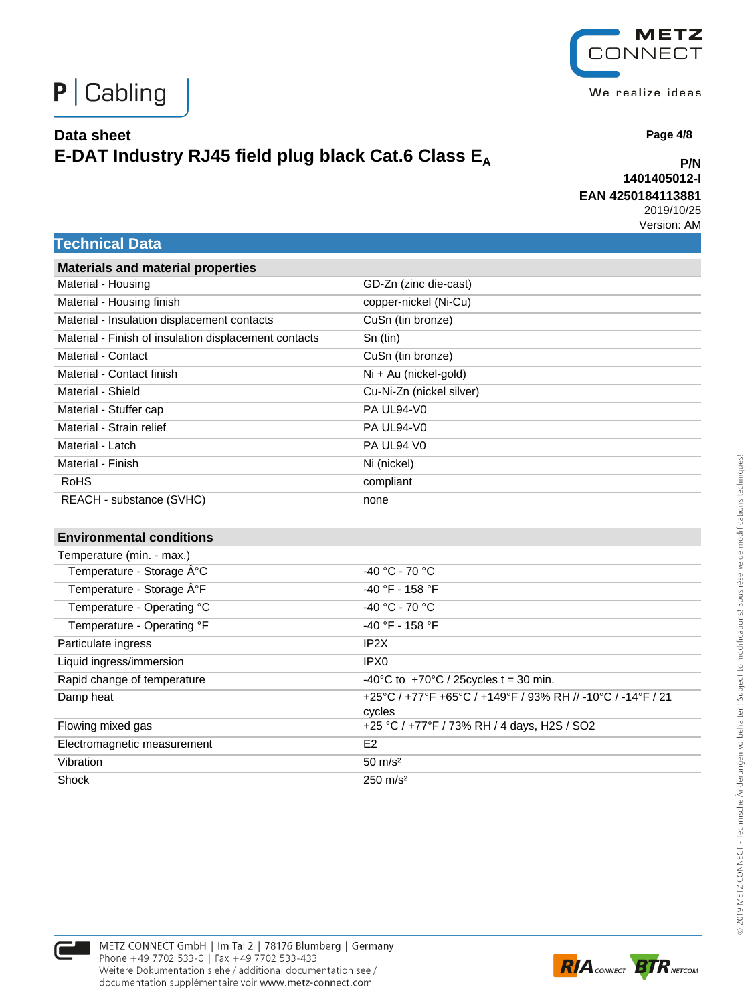

**P/N**

 **Page 4/8**

#### **1401405012-I EAN 4250184113881**

2019/10/25 Version: AM

#### **Technical Data**

| <b>Materials and material properties</b>              |                                                             |
|-------------------------------------------------------|-------------------------------------------------------------|
| Material - Housing                                    | GD-Zn (zinc die-cast)                                       |
| Material - Housing finish                             | copper-nickel (Ni-Cu)                                       |
| Material - Insulation displacement contacts           | CuSn (tin bronze)                                           |
| Material - Finish of insulation displacement contacts | Sn (tin)                                                    |
| Material - Contact                                    | CuSn (tin bronze)                                           |
| Material - Contact finish                             | Ni + Au (nickel-gold)                                       |
| Material - Shield                                     | Cu-Ni-Zn (nickel silver)                                    |
| Material - Stuffer cap                                | PA UL94-V0                                                  |
| Material - Strain relief                              | PA UL94-V0                                                  |
| Material - Latch                                      | PA UL94 V0                                                  |
| Material - Finish                                     | Ni (nickel)                                                 |
| <b>RoHS</b>                                           | compliant                                                   |
| REACH - substance (SVHC)                              | none                                                        |
|                                                       |                                                             |
| <b>Environmental conditions</b>                       |                                                             |
| Temperature (min. - max.)                             |                                                             |
| Temperature - Storage °C                              | -40 °C - 70 °C                                              |
| Temperature - Storage °F                              | -40 °F - 158 °F                                             |
| Temperature - Operating °C                            | -40 °C - 70 °C                                              |
| Temperature - Operating °F                            | -40 °F - 158 °F                                             |
| Particulate ingress                                   | IP <sub>2</sub> X                                           |
| Liquid ingress/immersion                              | IPX <sub>0</sub>                                            |
| Rapid change of temperature                           | -40°C to +70°C / 25 cycles t = 30 min.                      |
| Damp heat                                             | +25°C / +77°F +65°C / +149°F / 93% RH // -10°C / -14°F / 21 |
|                                                       | cycles                                                      |
| Flowing mixed gas                                     | +25 °C / +77°F / 73% RH / 4 days, H2S / SO2                 |
| Electromagnetic measurement                           | E <sub>2</sub>                                              |
| Vibration                                             | $50 \text{ m/s}^2$                                          |
| Shock                                                 | $250 \text{ m/s}^2$                                         |





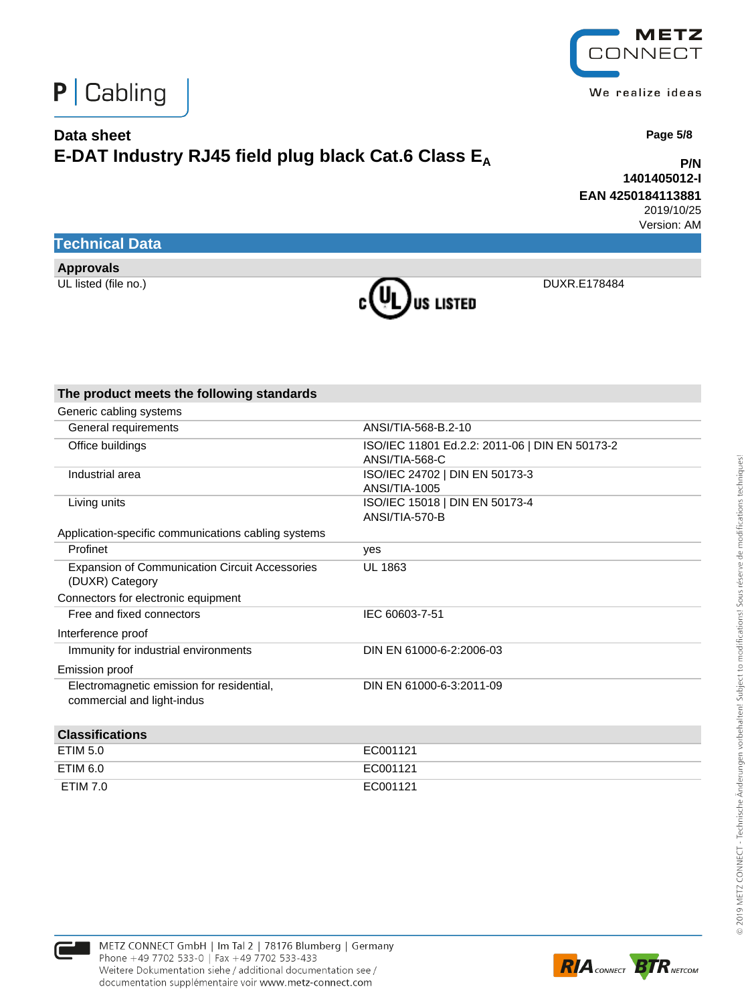

**P/N 1401405012-I EAN 4250184113881**

> 2019/10/25 Version: AM

 **Page 5/8**

## **Technical Data**

**Approvals**



| The product meets the following standards                                |                                                                  |
|--------------------------------------------------------------------------|------------------------------------------------------------------|
| Generic cabling systems                                                  |                                                                  |
| General requirements                                                     | ANSI/TIA-568-B.2-10                                              |
| Office buildings                                                         | ISO/IEC 11801 Ed.2.2: 2011-06   DIN EN 50173-2<br>ANSI/TIA-568-C |
| Industrial area                                                          | ISO/IEC 24702   DIN EN 50173-3<br>ANSI/TIA-1005                  |
| Living units                                                             | ISO/IEC 15018   DIN EN 50173-4<br>ANSI/TIA-570-B                 |
| Application-specific communications cabling systems                      |                                                                  |
| Profinet                                                                 | yes                                                              |
| <b>Expansion of Communication Circuit Accessories</b><br>(DUXR) Category | UL 1863                                                          |
| Connectors for electronic equipment                                      |                                                                  |
| Free and fixed connectors                                                | IEC 60603-7-51                                                   |
| Interference proof                                                       |                                                                  |
| Immunity for industrial environments                                     | DIN EN 61000-6-2:2006-03                                         |
| Emission proof                                                           |                                                                  |
| Electromagnetic emission for residential,<br>commercial and light-indus  | DIN EN 61000-6-3:2011-09                                         |
| <b>Classifications</b>                                                   |                                                                  |
| <b>ETIM 5.0</b>                                                          | EC001121                                                         |
| <b>ETIM 6.0</b>                                                          | EC001121                                                         |
| <b>ETIM 7.0</b>                                                          | EC001121                                                         |





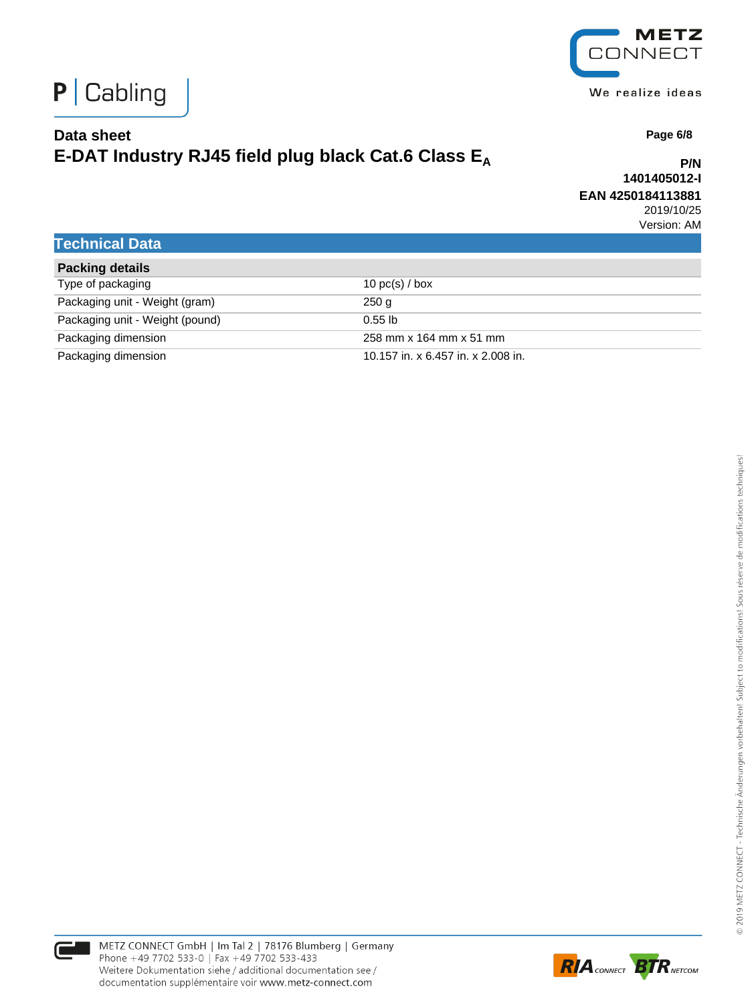



 **Page 6/8**

## **Data sheet E-DAT Industry RJ45 field plug black Cat.6 Class E<sup>A</sup>**

**P/N 1401405012-I EAN 4250184113881**

2019/10/25 Version: AM

### **Technical Data**

| <b>Packing details</b>          |                                    |
|---------------------------------|------------------------------------|
| Type of packaging               | 10 $pc(s)$ / box                   |
| Packaging unit - Weight (gram)  | 250 g                              |
| Packaging unit - Weight (pound) | $0.55$ lb                          |
| Packaging dimension             | 258 mm x 164 mm x 51 mm            |
| Packaging dimension             | 10.157 in. x 6.457 in. x 2.008 in. |

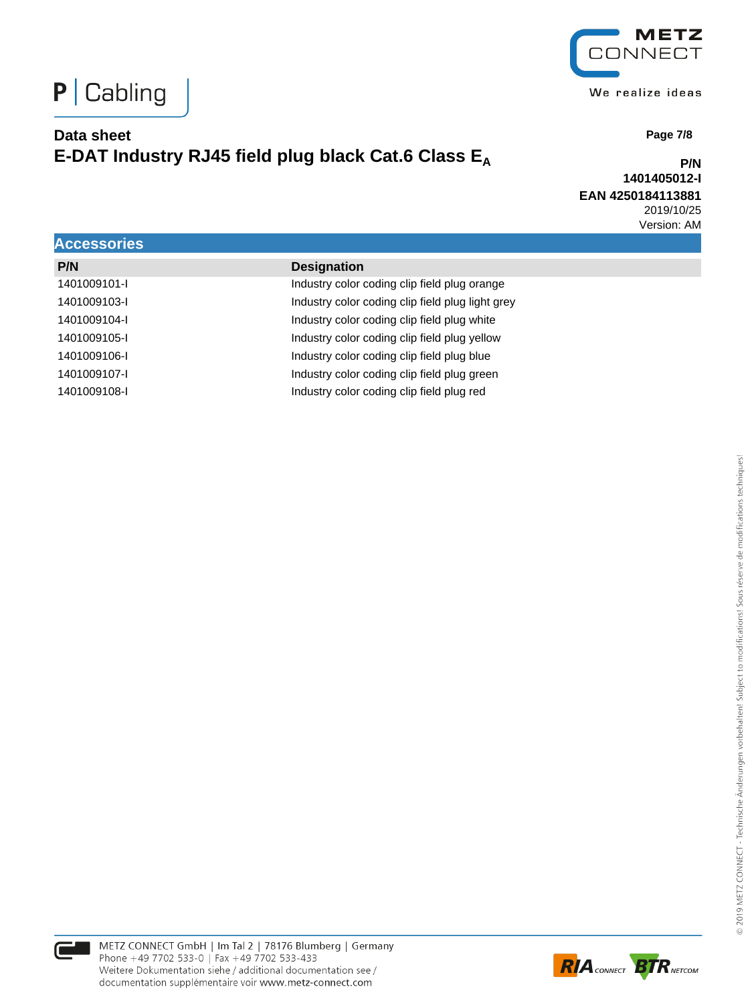



 **Page 7/8**

**P/N 1401405012-I EAN 4250184113881** 2019/10/25 Version: AM

|                    |                                                  | . |
|--------------------|--------------------------------------------------|---|
| <b>Accessories</b> |                                                  |   |
| P/N                | <b>Designation</b>                               |   |
| 1401009101-I       | Industry color coding clip field plug orange     |   |
| 1401009103-I       | Industry color coding clip field plug light grey |   |
| 1401009104-I       | Industry color coding clip field plug white      |   |
| 1401009105-I       | Industry color coding clip field plug yellow     |   |
| 1401009106-I       | Industry color coding clip field plug blue       |   |
| 1401009107-I       | Industry color coding clip field plug green      |   |
| 1401009108-I       | Industry color coding clip field plug red        |   |